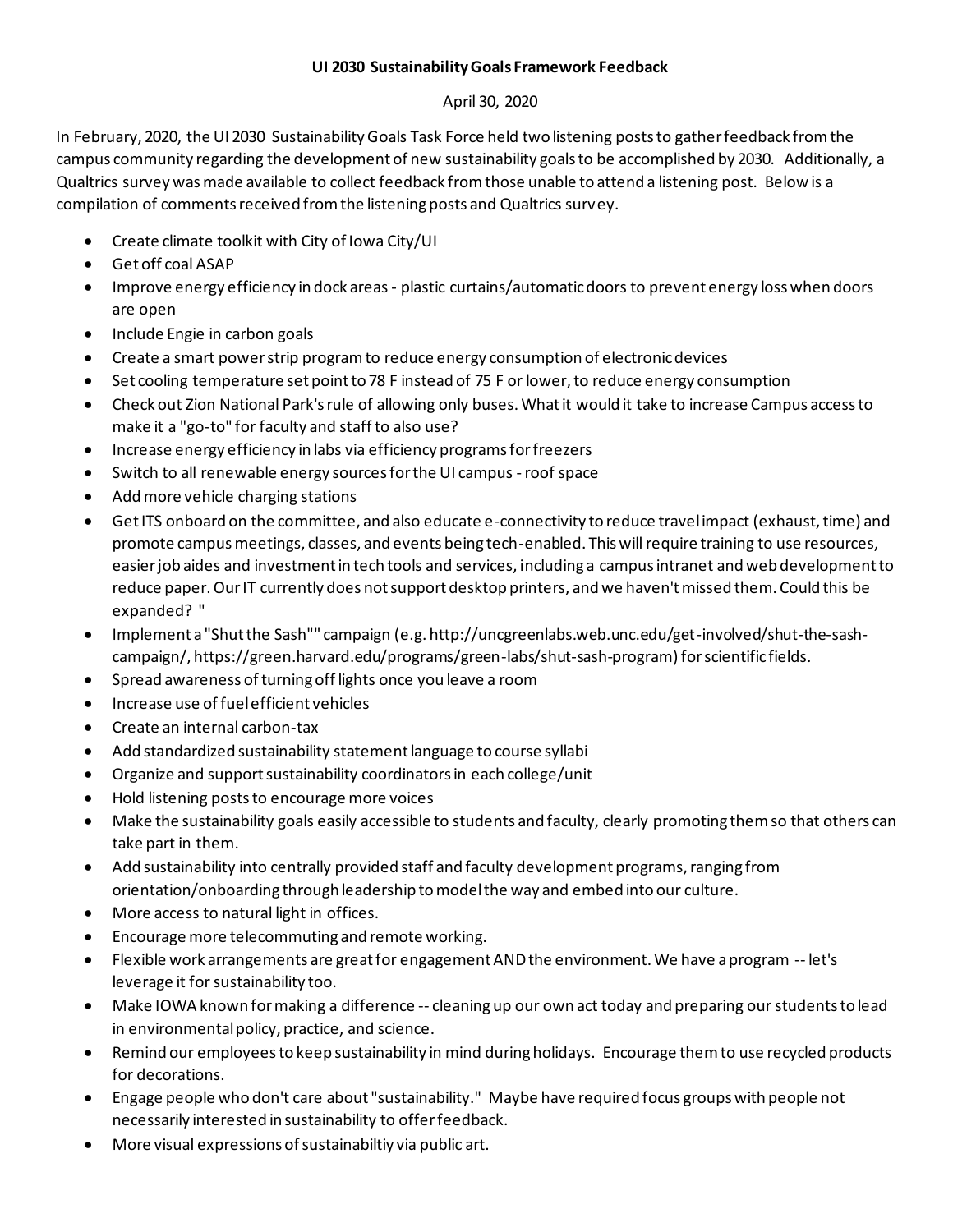## **UI 2030 Sustainability Goals Framework Feedback**

## April 30, 2020

In February, 2020, the UI 2030 Sustainability Goals Task Force held two listening posts to gather feedback from the campus community regarding the development of new sustainability goals to be accomplished by 2030. Additionally, a Qualtrics survey was made available to collect feedback from those unable to attend a listening post. Below is a compilation of comments received from the listening posts and Qualtrics survey.

- Create climate toolkit with City of Iowa City/UI
- Get off coal ASAP
- Improve energy efficiency in dock areas plastic curtains/automatic doors to prevent energy loss when doors are open
- Include Engie in carbon goals
- Create a smart power strip program to reduce energy consumption of electronic devices
- Set cooling temperature set point to 78 F instead of 75 F or lower, to reduce energy consumption
- Check out Zion National Park's rule of allowing only buses. What it would it take to increase Campus access to make it a "go-to" for faculty and staff to also use?
- Increase energy efficiency in labs via efficiency programs for freezers
- Switch to all renewable energy sources for the UI campus -roof space
- Add more vehicle charging stations
- Get ITS onboard on the committee, and also educate e-connectivity to reduce travel impact (exhaust, time) and promote campus meetings, classes, and events being tech-enabled. This will require training to use resources, easier job aides and investment in tech tools and services, including a campus intranet and web development to reduce paper. Our IT currently does not support desktop printers, and we haven't missed them. Could this be expanded? "
- Implement a "Shut the Sash"" campaign (e.g. http://uncgreenlabs.web.unc.edu/get-involved/shut-the-sashcampaign/, https://green.harvard.edu/programs/green-labs/shut-sash-program) for scientific fields.
- Spread awareness of turning off lights once you leave a room
- Increase use of fuel efficient vehicles
- Create an internal carbon-tax
- Add standardized sustainability statement language to course syllabi
- Organize and support sustainability coordinators in each college/unit
- Hold listening posts to encourage more voices
- Make the sustainability goals easily accessible to students and faculty, clearly promoting them so that others can take part in them.
- Add sustainability into centrally provided staff and faculty development programs, ranging from orientation/onboarding through leadership to model the way and embed into our culture.
- More access to natural light in offices.
- Encourage more telecommuting and remote working.
- Flexible work arrangements are great for engagement AND the environment. We have a program -- let's leverage it for sustainability too.
- Make IOWA known for making a difference -- cleaning up our own act today and preparing our students to lead in environmental policy, practice, and science.
- Remind our employees to keep sustainability in mind during holidays. Encourage them to use recycled products for decorations.
- Engage people who don't care about "sustainability." Maybe have required focus groups with people not necessarily interested in sustainability to offer feedback.
- More visual expressions of sustainabiltiy via public art.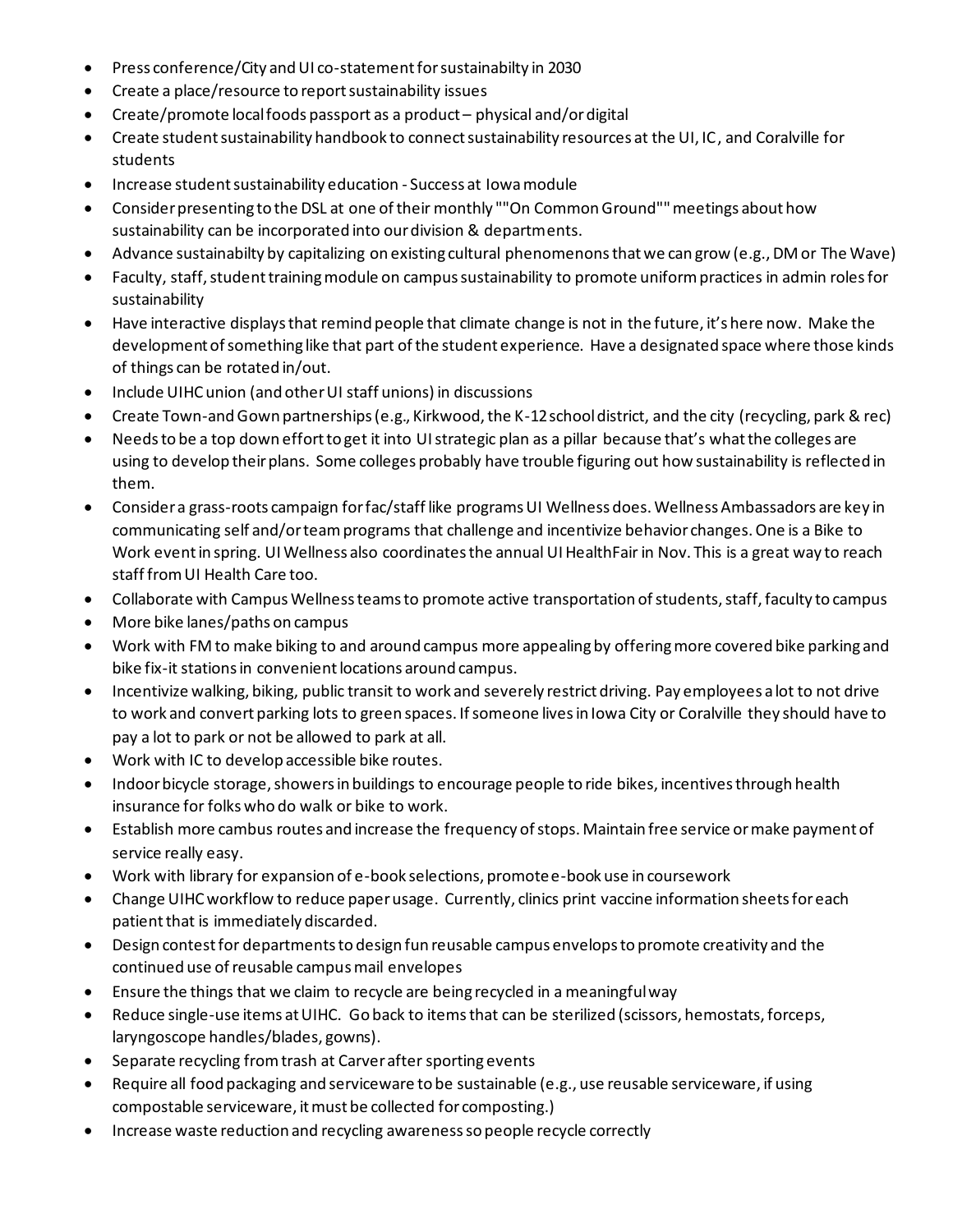- Press conference/City and UI co-statement forsustainabilty in 2030
- Create a place/resource to report sustainability issues
- Create/promote local foods passport as a product physical and/or digital
- Create student sustainability handbook to connect sustainability resources at the UI, IC, and Coralville for students
- Increase student sustainability education Success at Iowa module
- Consider presenting to the DSL at one of their monthly ""On Common Ground"" meetings about how sustainability can be incorporated into our division & departments.
- Advance sustainabilty by capitalizing on existing cultural phenomenons that we can grow (e.g., DM or The Wave)
- Faculty, staff, student training module on campus sustainability to promote uniform practices in admin roles for sustainability
- Have interactive displays that remind people that climate change is not in the future, it's here now. Make the development of something like that part of the student experience. Have a designated space where those kinds of things can be rotated in/out.
- Include UIHC union (and other UI staff unions) in discussions
- Create Town-and Gown partnerships (e.g., Kirkwood, the K-12 school district, and the city (recycling, park & rec)
- Needs to be a top down effort to get it into UI strategic plan as a pillar because that's what the colleges are using to develop their plans. Some colleges probably have trouble figuring out how sustainability is reflected in them.
- Consider a grass-roots campaign for fac/staff like programs UI Wellness does. Wellness Ambassadors are key in communicating self and/or team programs that challenge and incentivize behavior changes. One is a Bike to Work event in spring. UI Wellness also coordinates the annual UI HealthFair in Nov. This is a great way to reach staff from UI Health Care too.
- Collaborate with Campus Wellness teams to promote active transportation of students, staff, faculty to campus
- More bike lanes/paths on campus
- Work with FM to make biking to and around campus more appealing by offering more covered bike parking and bike fix-it stations in convenient locations around campus.
- Incentivize walking, biking, public transit to work and severely restrict driving. Pay employees a lot to not drive to work and convert parking lots to green spaces. If someone lives in Iowa City or Coralville they should have to pay a lot to park or not be allowed to park at all.
- Work with IC to develop accessible bike routes.
- Indoor bicycle storage, showers in buildings to encourage people to ride bikes, incentives through health insurance for folks who do walk or bike to work.
- Establish more cambus routes and increase the frequency of stops. Maintain free service or make payment of service really easy.
- Work with library for expansion of e-book selections, promote e-book use in coursework
- Change UIHC workflow to reduce paper usage. Currently, clinics print vaccine information sheets for each patient that is immediately discarded.
- Design contest for departments to design fun reusable campus envelops to promote creativity and the continued use of reusable campus mail envelopes
- Ensure the things that we claim to recycle are being recycled in a meaningful way
- Reduce single-use items at UIHC. Go back to items that can be sterilized (scissors, hemostats, forceps, laryngoscope handles/blades, gowns).
- Separate recycling from trash at Carver after sporting events
- Require all food packaging and serviceware to be sustainable (e.g., use reusable serviceware, if using compostable serviceware, it must be collected for composting.)
- Increase waste reduction and recycling awareness so people recycle correctly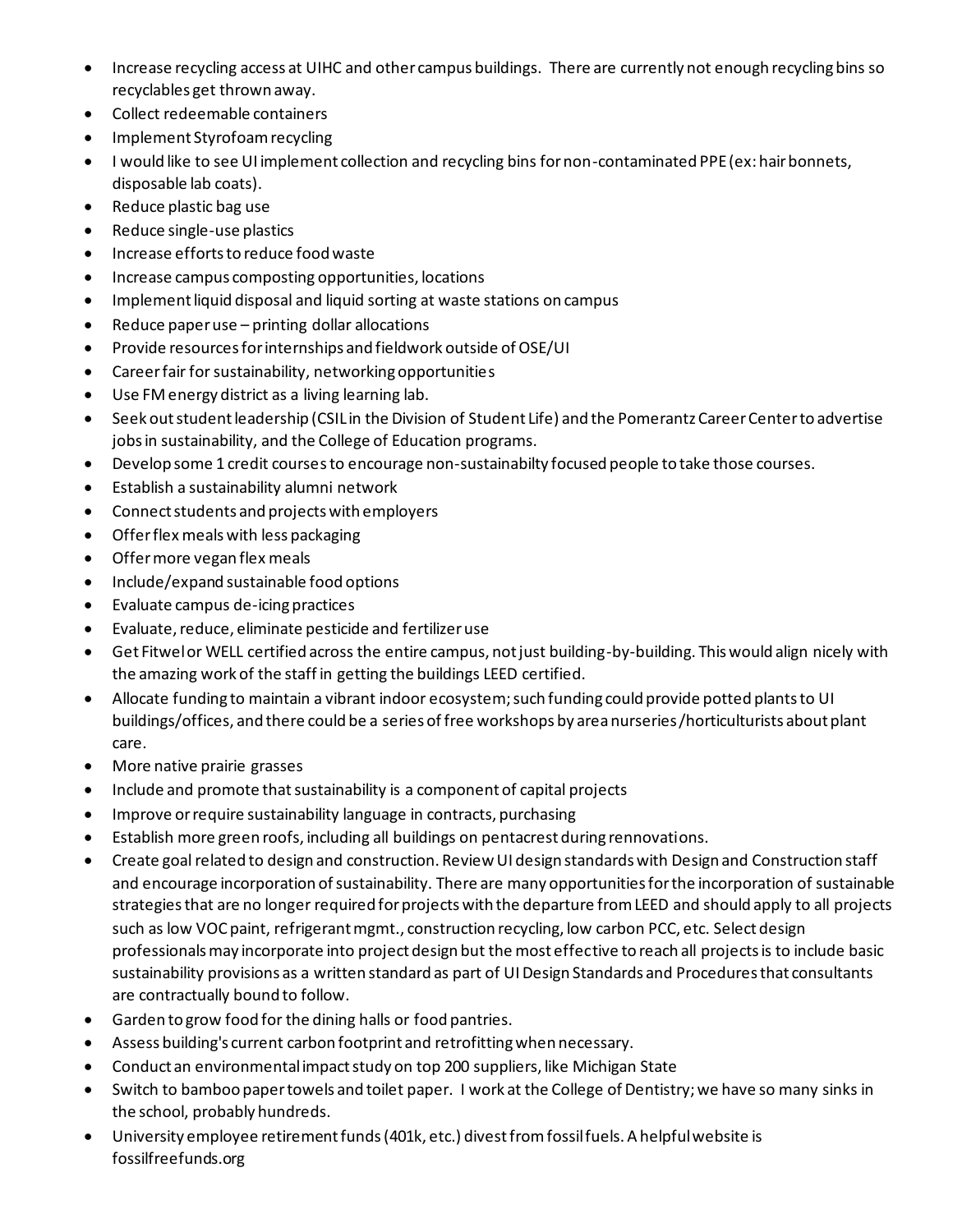- Increase recycling access at UIHC and other campus buildings. There are currently not enough recycling bins so recyclables get thrown away.
- Collect redeemable containers
- Implement Styrofoam recycling
- I would like to see UI implement collection and recycling bins for non-contaminated PPE (ex: hair bonnets, disposable lab coats).
- Reduce plastic bag use
- Reduce single-use plastics
- Increase efforts to reduce food waste
- Increase campus composting opportunities, locations
- Implement liquid disposal and liquid sorting at waste stations on campus
- Reduce paper use printing dollar allocations
- Provide resources for internships and fieldwork outside of OSE/UI
- Career fair for sustainability, networking opportunities
- Use FM energy district as a living learning lab.
- Seek out student leadership (CSIL in the Division of Student Life) and the Pomerantz Career Center to advertise jobs in sustainability, and the College of Education programs.
- Develop some 1 credit courses to encourage non-sustainabilty focused people to take those courses.
- Establish a sustainability alumni network
- Connect students and projects with employers
- Offer flex meals with less packaging
- Offer more vegan flex meals
- Include/expand sustainable food options
- Evaluate campus de-icing practices
- Evaluate, reduce, eliminate pesticide and fertilizer use
- Get Fitwel or WELL certified across the entire campus, not just building-by-building. This would align nicely with the amazing work of the staff in getting the buildings LEED certified.
- Allocate funding to maintain a vibrant indoor ecosystem; such funding could provide potted plants to UI buildings/offices, and there could be a series of free workshops by area nurseries/horticulturists about plant care.
- More native prairie grasses
- Include and promote that sustainability is a component of capital projects
- Improve or require sustainability language in contracts, purchasing
- Establish more green roofs, including all buildings on pentacrest during rennovations.
- Create goal related to design and construction. Review UI design standards with Design and Construction staff and encourage incorporation of sustainability. There are many opportunities for the incorporation of sustainable strategies that are no longer required for projects with the departure from LEED and should apply to all projects such as low VOC paint, refrigerant mgmt., construction recycling, low carbon PCC, etc. Select design professionals may incorporate into project design but the most effective to reach all projects is to include basic sustainability provisions as a written standard as part of UI Design Standards and Procedures that consultants are contractually bound to follow.
- Garden to grow food for the dining halls or food pantries.
- Assess building's current carbon footprint and retrofitting when necessary.
- Conduct an environmental impact study on top 200 suppliers, like Michigan State
- Switch to bamboo paper towels and toilet paper. I work at the College of Dentistry; we have so many sinks in the school, probably hundreds.
- University employee retirement funds (401k, etc.) divest from fossil fuels. A helpful website is fossilfreefunds.org